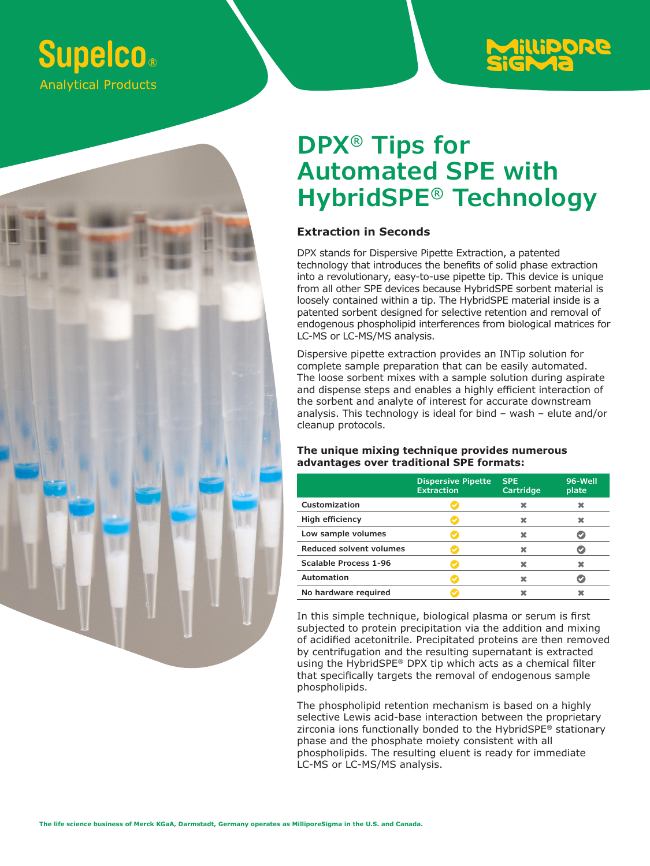# **Supelco. Analytical Products**



# **DPX® Tips for Automated SPE with HybridSPE® Technology**

### **Extraction in Seconds**

DPX stands for Dispersive Pipette Extraction, a patented technology that introduces the benefits of solid phase extraction into a revolutionary, easy-to-use pipette tip. This device is unique from all other SPE devices because HybridSPE sorbent material is loosely contained within a tip. The HybridSPE material inside is a patented sorbent designed for selective retention and removal of endogenous phospholipid interferences from biological matrices for LC-MS or LC-MS/MS analysis.

Dispersive pipette extraction provides an INTip solution for complete sample preparation that can be easily automated. The loose sorbent mixes with a sample solution during aspirate and dispense steps and enables a highly efficient interaction of the sorbent and analyte of interest for accurate downstream analysis. This technology is ideal for bind – wash – elute and/or cleanup protocols.

### **The unique mixing technique provides numerous advantages over traditional SPE formats:**

|                              | <b>Dispersive Pipette</b><br><b>Extraction</b> | <b>SPE</b><br>Cartridge | 96-Well<br>plate |
|------------------------------|------------------------------------------------|-------------------------|------------------|
| Customization                |                                                |                         |                  |
| High efficiency              |                                                |                         |                  |
| Low sample volumes           |                                                |                         |                  |
| Reduced solvent volumes      |                                                |                         |                  |
| <b>Scalable Process 1-96</b> |                                                |                         |                  |
| <b>Automation</b>            |                                                |                         |                  |
| No hardware reguired         |                                                |                         |                  |

In this simple technique, biological plasma or serum is first subjected to protein precipitation via the addition and mixing of acidified acetonitrile. Precipitated proteins are then removed by centrifugation and the resulting supernatant is extracted using the HybridSPE® DPX tip which acts as a chemical filter that specifically targets the removal of endogenous sample phospholipids.

The phospholipid retention mechanism is based on a highly selective Lewis acid-base interaction between the proprietary zirconia ions functionally bonded to the HybridSPE® stationary phase and the phosphate moiety consistent with all phospholipids. The resulting eluent is ready for immediate LC-MS or LC-MS/MS analysis.